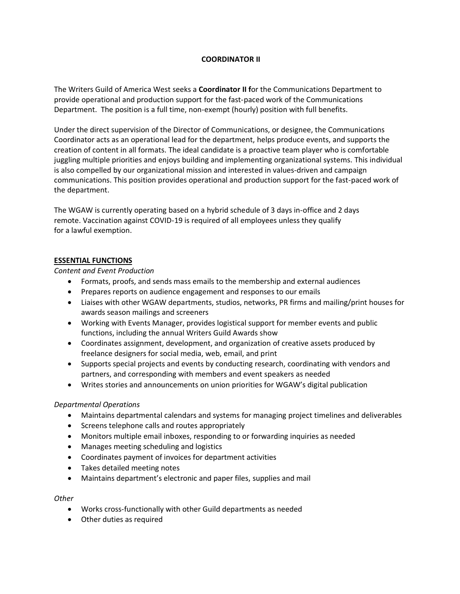# **COORDINATOR II**

The Writers Guild of America West seeks a **Coordinator II f**or the Communications Department to provide operational and production support for the fast-paced work of the Communications Department. The position is a full time, non-exempt (hourly) position with full benefits.

Under the direct supervision of the Director of Communications, or designee, the Communications Coordinator acts as an operational lead for the department, helps produce events, and supports the creation of content in all formats. The ideal candidate is a proactive team player who is comfortable juggling multiple priorities and enjoys building and implementing organizational systems. This individual is also compelled by our organizational mission and interested in values-driven and campaign communications. This position provides operational and production support for the fast-paced work of the department.

The WGAW is currently operating based on a hybrid schedule of 3 days in-office and 2 days remote. Vaccination against COVID-19 is required of all employees unless they qualify for a lawful exemption.

## **ESSENTIAL FUNCTIONS**

*Content and Event Production*

- Formats, proofs, and sends mass emails to the membership and external audiences
- Prepares reports on audience engagement and responses to our emails
- Liaises with other WGAW departments, studios, networks, PR firms and mailing/print houses for awards season mailings and screeners
- Working with Events Manager, provides logistical support for member events and public functions, including the annual Writers Guild Awards show
- Coordinates assignment, development, and organization of creative assets produced by freelance designers for social media, web, email, and print
- Supports special projects and events by conducting research, coordinating with vendors and partners, and corresponding with members and event speakers as needed
- Writes stories and announcements on union priorities for WGAW's digital publication

## *Departmental Operations*

- Maintains departmental calendars and systems for managing project timelines and deliverables
- Screens telephone calls and routes appropriately
- Monitors multiple email inboxes, responding to or forwarding inquiries as needed
- Manages meeting scheduling and logistics
- Coordinates payment of invoices for department activities
- Takes detailed meeting notes
- Maintains department's electronic and paper files, supplies and mail

## *Other*

- Works cross-functionally with other Guild departments as needed
- Other duties as required